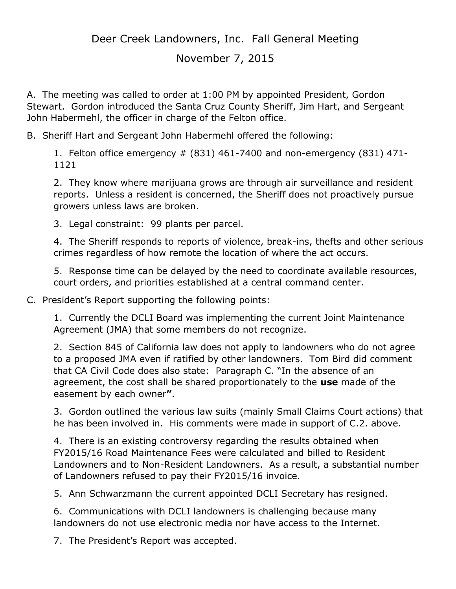Deer Creek Landowners, Inc. Fall General Meeting

November 7, 2015

A. The meeting was called to order at 1:00 PM by appointed President, Gordon Stewart. Gordon introduced the Santa Cruz County Sheriff, Jim Hart, and Sergeant John Habermehl, the officer in charge of the Felton office.

B. Sheriff Hart and Sergeant John Habermehl offered the following:

1. Felton office emergency # (831) 461-7400 and non-emergency (831) 471- 1121

2. They know where marijuana grows are through air surveillance and resident reports. Unless a resident is concerned, the Sheriff does not proactively pursue growers unless laws are broken.

3. Legal constraint: 99 plants per parcel.

4. The Sheriff responds to reports of violence, break-ins, thefts and other serious crimes regardless of how remote the location of where the act occurs.

5. Response time can be delayed by the need to coordinate available resources, court orders, and priorities established at a central command center.

C. President's Report supporting the following points:

1. Currently the DCLI Board was implementing the current Joint Maintenance Agreement (JMA) that some members do not recognize.

2. Section 845 of California law does not apply to landowners who do not agree to a proposed JMA even if ratified by other landowners. Tom Bird did comment that CA Civil Code does also state: Paragraph C. "In the absence of an agreement, the cost shall be shared proportionately to the **use** made of the easement by each owner**"**.

3. Gordon outlined the various law suits (mainly Small Claims Court actions) that he has been involved in. His comments were made in support of C.2. above.

4. There is an existing controversy regarding the results obtained when FY2015/16 Road Maintenance Fees were calculated and billed to Resident Landowners and to Non-Resident Landowners. As a result, a substantial number of Landowners refused to pay their FY2015/16 invoice.

5. Ann Schwarzmann the current appointed DCLI Secretary has resigned.

6. Communications with DCLI landowners is challenging because many landowners do not use electronic media nor have access to the Internet.

7. The President's Report was accepted.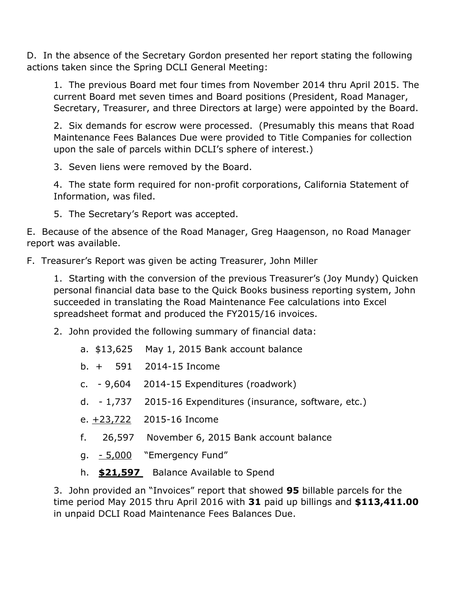D. In the absence of the Secretary Gordon presented her report stating the following actions taken since the Spring DCLI General Meeting:

1. The previous Board met four times from November 2014 thru April 2015. The current Board met seven times and Board positions (President, Road Manager, Secretary, Treasurer, and three Directors at large) were appointed by the Board.

2. Six demands for escrow were processed. (Presumably this means that Road Maintenance Fees Balances Due were provided to Title Companies for collection upon the sale of parcels within DCLI's sphere of interest.)

3. Seven liens were removed by the Board.

4. The state form required for non-profit corporations, California Statement of Information, was filed.

5. The Secretary's Report was accepted.

E. Because of the absence of the Road Manager, Greg Haagenson, no Road Manager report was available.

F. Treasurer's Report was given be acting Treasurer, John Miller

1. Starting with the conversion of the previous Treasurer's (Joy Mundy) Quicken personal financial data base to the Quick Books business reporting system, John succeeded in translating the Road Maintenance Fee calculations into Excel spreadsheet format and produced the FY2015/16 invoices.

- 2. John provided the following summary of financial data:
	- a. \$13,625 May 1, 2015 Bank account balance
	- b. + 591 2014-15 Income
	- c. 9,604 2014-15 Expenditures (roadwork)
	- d. 1,737 2015-16 Expenditures (insurance, software, etc.)
	- e. +23,722 2015-16 Income
	- f. 26,597 November 6, 2015 Bank account balance
	- g. 5,000 "Emergency Fund"
	- h. **\$21,597** Balance Available to Spend

3. John provided an "Invoices" report that showed **95** billable parcels for the time period May 2015 thru April 2016 with **31** paid up billings and **\$113,411.00** in unpaid DCLI Road Maintenance Fees Balances Due.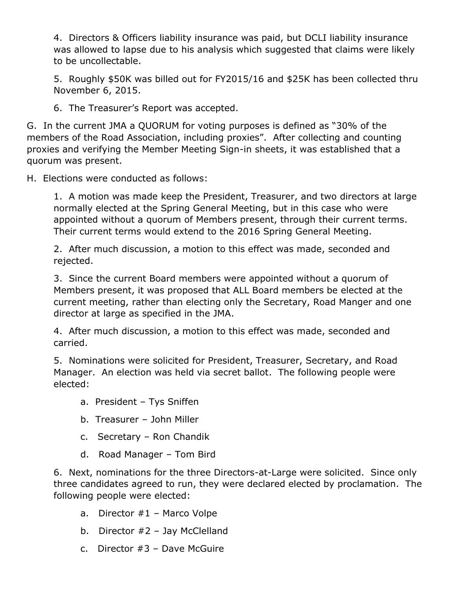4. Directors & Officers liability insurance was paid, but DCLI liability insurance was allowed to lapse due to his analysis which suggested that claims were likely to be uncollectable.

5. Roughly \$50K was billed out for FY2015/16 and \$25K has been collected thru November 6, 2015.

6. The Treasurer's Report was accepted.

G. In the current JMA a QUORUM for voting purposes is defined as "30% of the members of the Road Association, including proxies". After collecting and counting proxies and verifying the Member Meeting Sign-in sheets, it was established that a quorum was present.

H. Elections were conducted as follows:

1. A motion was made keep the President, Treasurer, and two directors at large normally elected at the Spring General Meeting, but in this case who were appointed without a quorum of Members present, through their current terms. Their current terms would extend to the 2016 Spring General Meeting.

2. After much discussion, a motion to this effect was made, seconded and rejected.

3. Since the current Board members were appointed without a quorum of Members present, it was proposed that ALL Board members be elected at the current meeting, rather than electing only the Secretary, Road Manger and one director at large as specified in the JMA.

4. After much discussion, a motion to this effect was made, seconded and carried.

5. Nominations were solicited for President, Treasurer, Secretary, and Road Manager. An election was held via secret ballot. The following people were elected:

- a. President Tys Sniffen
- b. Treasurer John Miller
- c. Secretary Ron Chandik
- d. Road Manager Tom Bird

6. Next, nominations for the three Directors-at-Large were solicited. Since only three candidates agreed to run, they were declared elected by proclamation. The following people were elected:

- a. Director #1 Marco Volpe
- b. Director  $#2 -$  Jay McClelland
- c. Director #3 Dave McGuire